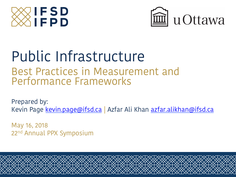



# Public Infrastructure

Best Practices in Measurement and Performance Frameworks

Prepared by: Kevin Page kevin.page@ifsd.ca | Azfar Ali Khan azfar.alikhan@ifsd.ca

May 16, 2018 22<sup>nd</sup> Annual PPX Symposium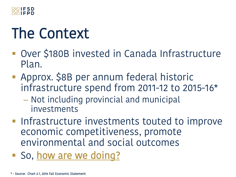

## The Context

- Over \$180B invested in Canada Infrastructure Plan.
- **Approx. \$8B per annum federal historic** infrastructure spend from 2011-12 to 2015-16\*
	- Not including provincial and municipal investments
- **Infrastructure investments touted to improve** economic competitiveness, promote environmental and social outcomes
- **So, how are we doing?**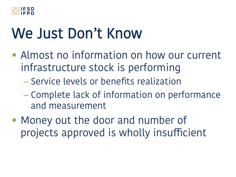

#### We Just Don't Know

- **E** Almost no information on how our current infrastructure stock is performing
	- Service levels or benefits realization
	- Complete lack of information on performance and measurement
- **Money out the door and number of** projects approved is wholly insufficient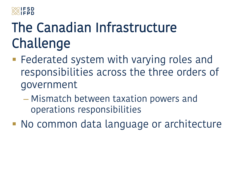

#### The Canadian Infrastructure Challenge

- **EXE** Federated system with varying roles and responsibilities across the three orders of government
	- Mismatch between taxation powers and operations responsibilities
- ! No common data language or architecture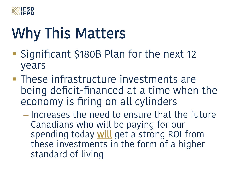

## Why This Matters

- ! Significant \$180B Plan for the next 12 years
- **These infrastructure investments are** being deficit-financed at a time when the economy is firing on all cylinders
	- Increases the need to ensure that the future Canadians who will be paying for our spending today will get a strong ROI from these investments in the form of a higher standard of living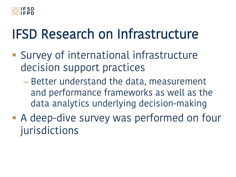

#### IFSD Research on Infrastructure

- **E.** Survey of international infrastructure decision support practices
	- Better understand the data, measurement and performance frameworks as well as the data analytics underlying decision-making
- **A deep-dive survey was performed on four** jurisdictions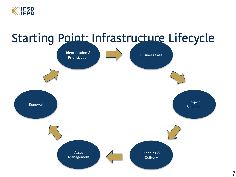

#### Starting Point: Infrastructure Lifecycle

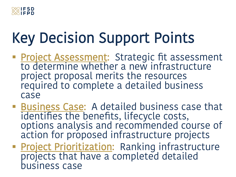

## Key Decision Support Points

- **Project Assessment:** Strategic fit assessment to determine whether a new infrastructure project proposal merits the resources required to complete a detailed business case
- **Example 1 Business Case:** A detailed business case that identifies the benefits, lifecycle costs, options analysis and recommended course of action for proposed infrastructure projects
- **Project Prioritization:** Ranking infrastructure projects that have a completed detailed business case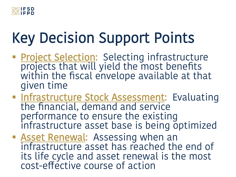

## Key Decision Support Points

- **Project Selection:** Selecting infrastructure projects that will yield the most benefits within the fiscal envelope available at that given time
- **Infrastructure Stock Assessment:** Evaluating the financial, demand and service performance to ensure the existing infrastructure asset base is being optimized
- **Example 15 Asset Renewal:** Assessing when an infrastructure asset has reached the end of its life cycle and asset renewal is the most cost-efective course of action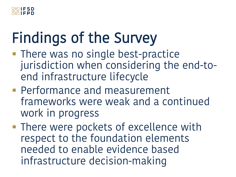

## Findings of the Survey

- **There was no single best-practice** jurisdiction when considering the end-toend infrastructure lifecycle
- **Performance and measurement** frameworks were weak and a continued work in progress
- **. There were pockets of excellence with** respect to the foundation elements needed to enable evidence based infrastructure decision-making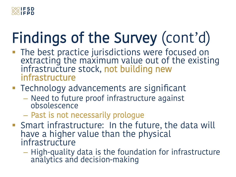

## Findings of the Survey (cont'd)

- **The best practice jurisdictions were focused on** extracting the maximum value out of the existing infrastructure stock, not building new infrastructure
- **Technology advancements are significant** 
	- Need to future proof infrastructure against obsolescence
	- Past is not necessarily prologue
- **Shart infrastructure: In the future, the data will** have a higher value than the physical infrastructure
	- High-quality data is the foundation for infrastructure analytics and decision-making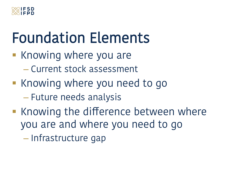

## Foundation Elements

- **E** Knowing where you are
	- Current stock assessment
- **E** Knowing where you need to go – Future needs analysis
- **EXEC** Knowing the difference between where you are and where you need to go

– Infrastructure gap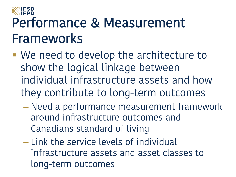## Performance & Measurement Frameworks

- ! We need to develop the architecture to show the logical linkage between individual infrastructure assets and how they contribute to long-term outcomes
	- Need a performance measurement framework around infrastructure outcomes and Canadians standard of living
	- Link the service levels of individual infrastructure assets and asset classes to long-term outcomes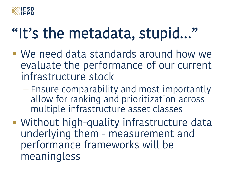

#### "It's the metadata, stupid…"

- ! We need data standards around how we evaluate the performance of our current infrastructure stock
	- Ensure comparability and most importantly allow for ranking and prioritization across multiple infrastructure asset classes
- **Without high-quality infrastructure data** underlying them - measurement and performance frameworks will be meaningless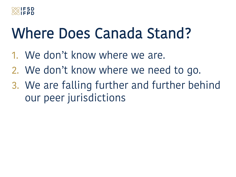

#### Where Does Canada Stand?

- 1. We don't know where we are.
- 2. We don't know where we need to go.
- 3. We are falling further and further behind our peer jurisdictions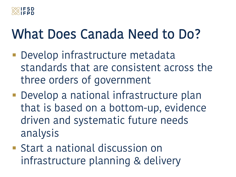

#### What Does Canada Need to Do?

- **Develop infrastructure metadata** standards that are consistent across the three orders of government
- **Develop a national infrastructure plan** that is based on a bottom-up, evidence driven and systematic future needs analysis
- **Example 13 Start a national discussion on** infrastructure planning & delivery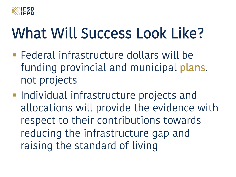

## What Will Success Look Like?

- **Example 7 Federal infrastructure dollars will be** funding provincial and municipal plans, not projects
- **Individual infrastructure projects and** allocations will provide the evidence with respect to their contributions towards reducing the infrastructure gap and raising the standard of living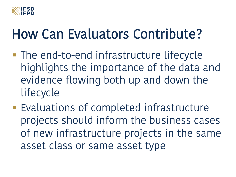

#### How Can Evaluators Contribute?

- **The end-to-end infrastructure lifecycle** highlights the importance of the data and evidence flowing both up and down the lifecycle
- **Evaluations of completed infrastructure** projects should inform the business cases of new infrastructure projects in the same asset class or same asset type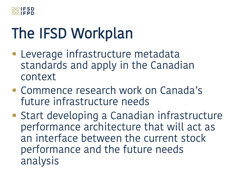

## The IFSD Workplan

- **Exercise infrastructure metadata** standards and apply in the Canadian context
- **E.** Commence research work on Canada's future infrastructure needs
- **Example 13 Start developing a Canadian infrastructure** performance architecture that will act as an interface between the current stock performance and the future needs analysis